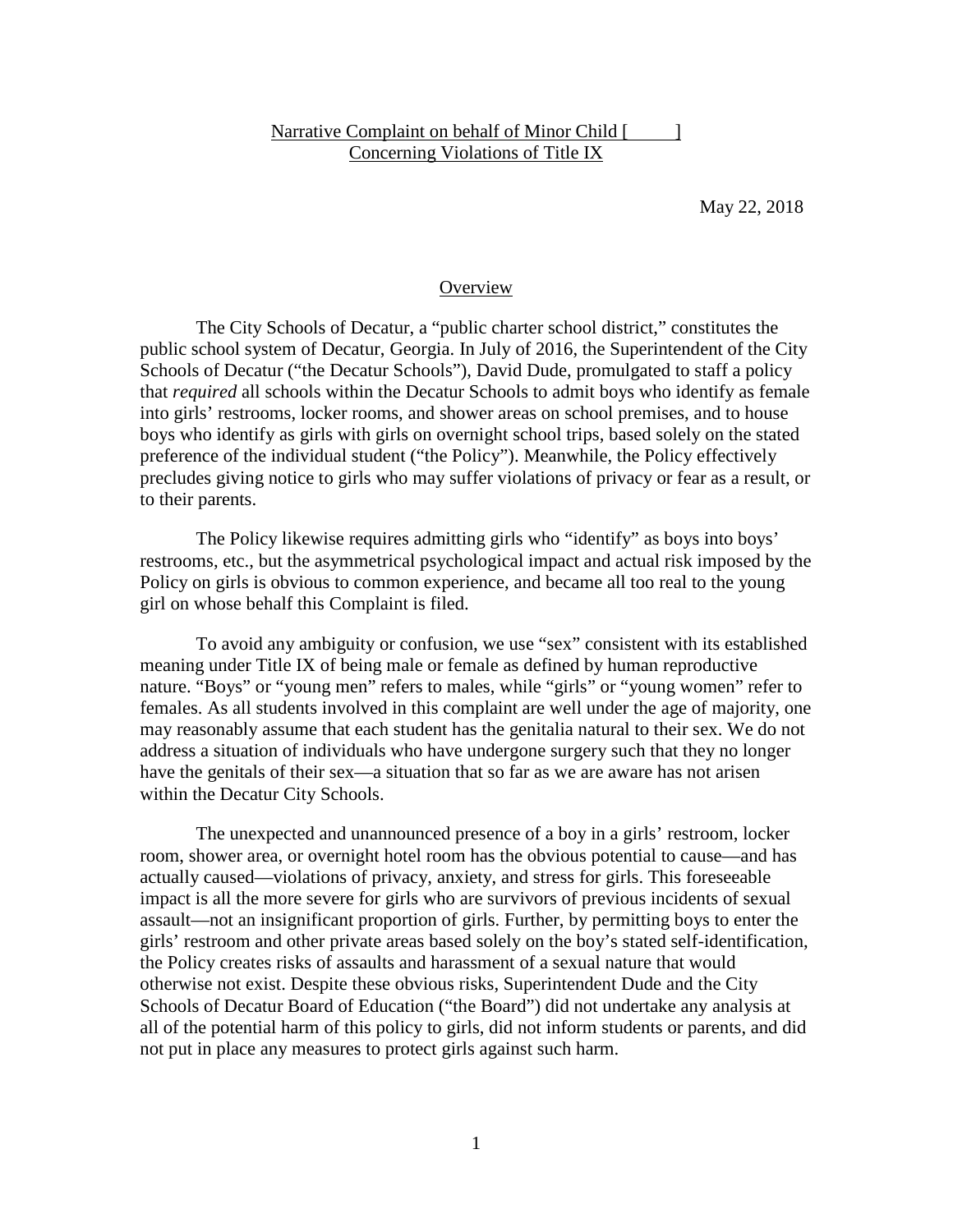### Narrative Complaint on behalf of Minor Child [ ] Concerning Violations of Title IX

May 22, 2018

#### **Overview**

The City Schools of Decatur, a "public charter school district," constitutes the public school system of Decatur, Georgia. In July of 2016, the Superintendent of the City Schools of Decatur ("the Decatur Schools"), David Dude, promulgated to staff a policy that *required* all schools within the Decatur Schools to admit boys who identify as female into girls' restrooms, locker rooms, and shower areas on school premises, and to house boys who identify as girls with girls on overnight school trips, based solely on the stated preference of the individual student ("the Policy"). Meanwhile, the Policy effectively precludes giving notice to girls who may suffer violations of privacy or fear as a result, or to their parents.

The Policy likewise requires admitting girls who "identify" as boys into boys' restrooms, etc., but the asymmetrical psychological impact and actual risk imposed by the Policy on girls is obvious to common experience, and became all too real to the young girl on whose behalf this Complaint is filed.

To avoid any ambiguity or confusion, we use "sex" consistent with its established meaning under Title IX of being male or female as defined by human reproductive nature. "Boys" or "young men" refers to males, while "girls" or "young women" refer to females. As all students involved in this complaint are well under the age of majority, one may reasonably assume that each student has the genitalia natural to their sex. We do not address a situation of individuals who have undergone surgery such that they no longer have the genitals of their sex—a situation that so far as we are aware has not arisen within the Decatur City Schools.

The unexpected and unannounced presence of a boy in a girls' restroom, locker room, shower area, or overnight hotel room has the obvious potential to cause—and has actually caused—violations of privacy, anxiety, and stress for girls. This foreseeable impact is all the more severe for girls who are survivors of previous incidents of sexual assault—not an insignificant proportion of girls. Further, by permitting boys to enter the girls' restroom and other private areas based solely on the boy's stated self-identification, the Policy creates risks of assaults and harassment of a sexual nature that would otherwise not exist. Despite these obvious risks, Superintendent Dude and the City Schools of Decatur Board of Education ("the Board") did not undertake any analysis at all of the potential harm of this policy to girls, did not inform students or parents, and did not put in place any measures to protect girls against such harm.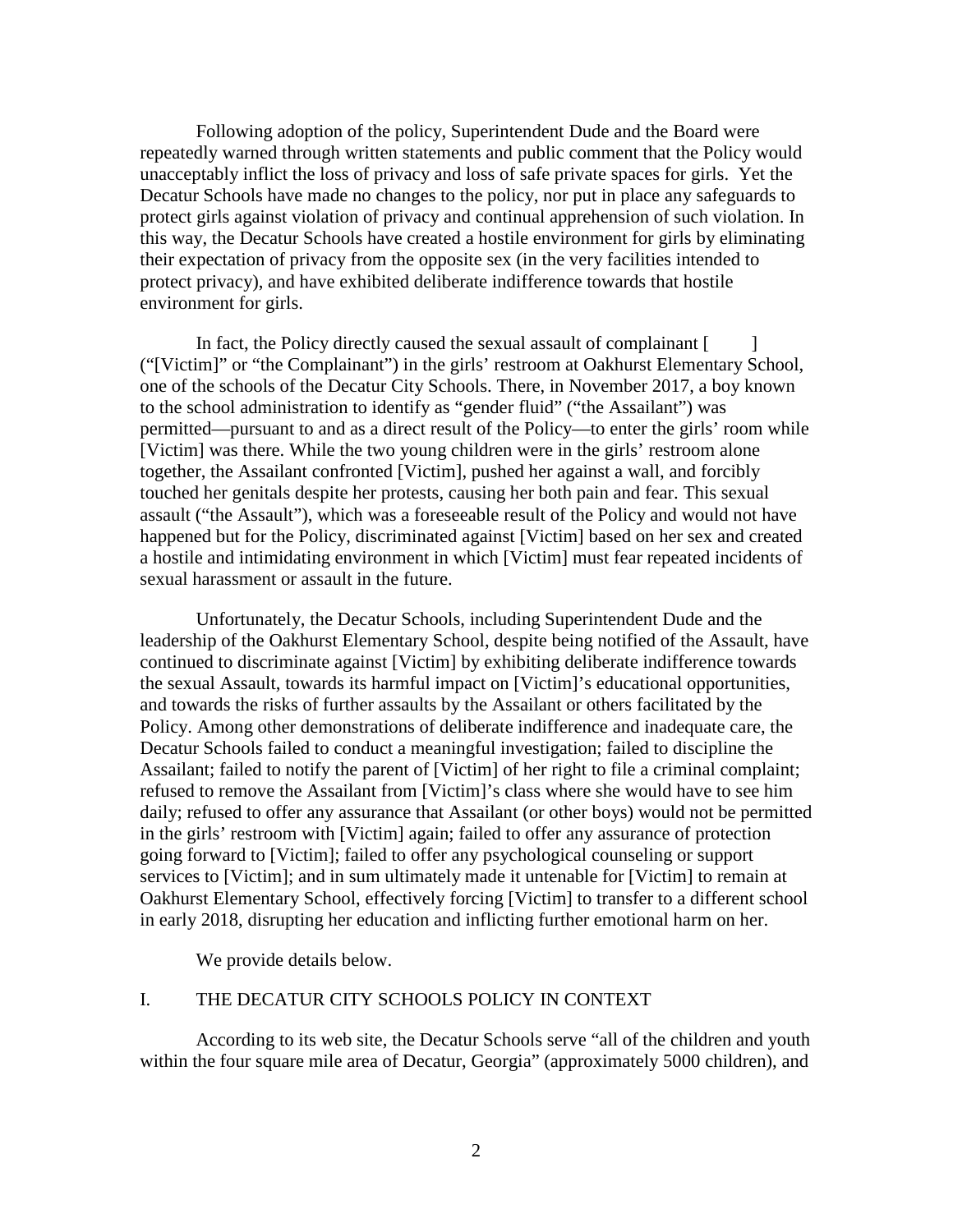Following adoption of the policy, Superintendent Dude and the Board were repeatedly warned through written statements and public comment that the Policy would unacceptably inflict the loss of privacy and loss of safe private spaces for girls. Yet the Decatur Schools have made no changes to the policy, nor put in place any safeguards to protect girls against violation of privacy and continual apprehension of such violation. In this way, the Decatur Schools have created a hostile environment for girls by eliminating their expectation of privacy from the opposite sex (in the very facilities intended to protect privacy), and have exhibited deliberate indifference towards that hostile environment for girls.

In fact, the Policy directly caused the sexual assault of complainant  $\lceil \cdot \cdot \cdot \rceil$ ("[Victim]" or "the Complainant") in the girls' restroom at Oakhurst Elementary School, one of the schools of the Decatur City Schools. There, in November 2017, a boy known to the school administration to identify as "gender fluid" ("the Assailant") was permitted—pursuant to and as a direct result of the Policy—to enter the girls' room while [Victim] was there. While the two young children were in the girls' restroom alone together, the Assailant confronted [Victim], pushed her against a wall, and forcibly touched her genitals despite her protests, causing her both pain and fear. This sexual assault ("the Assault"), which was a foreseeable result of the Policy and would not have happened but for the Policy, discriminated against [Victim] based on her sex and created a hostile and intimidating environment in which [Victim] must fear repeated incidents of sexual harassment or assault in the future.

Unfortunately, the Decatur Schools, including Superintendent Dude and the leadership of the Oakhurst Elementary School, despite being notified of the Assault, have continued to discriminate against [Victim] by exhibiting deliberate indifference towards the sexual Assault, towards its harmful impact on [Victim]'s educational opportunities, and towards the risks of further assaults by the Assailant or others facilitated by the Policy. Among other demonstrations of deliberate indifference and inadequate care, the Decatur Schools failed to conduct a meaningful investigation; failed to discipline the Assailant; failed to notify the parent of [Victim] of her right to file a criminal complaint; refused to remove the Assailant from [Victim]'s class where she would have to see him daily; refused to offer any assurance that Assailant (or other boys) would not be permitted in the girls' restroom with [Victim] again; failed to offer any assurance of protection going forward to [Victim]; failed to offer any psychological counseling or support services to [Victim]; and in sum ultimately made it untenable for [Victim] to remain at Oakhurst Elementary School, effectively forcing [Victim] to transfer to a different school in early 2018, disrupting her education and inflicting further emotional harm on her.

We provide details below.

#### I. THE DECATUR CITY SCHOOLS POLICY IN CONTEXT

According to its web site, the Decatur Schools serve "all of the children and youth within the four square mile area of Decatur, Georgia" (approximately 5000 children), and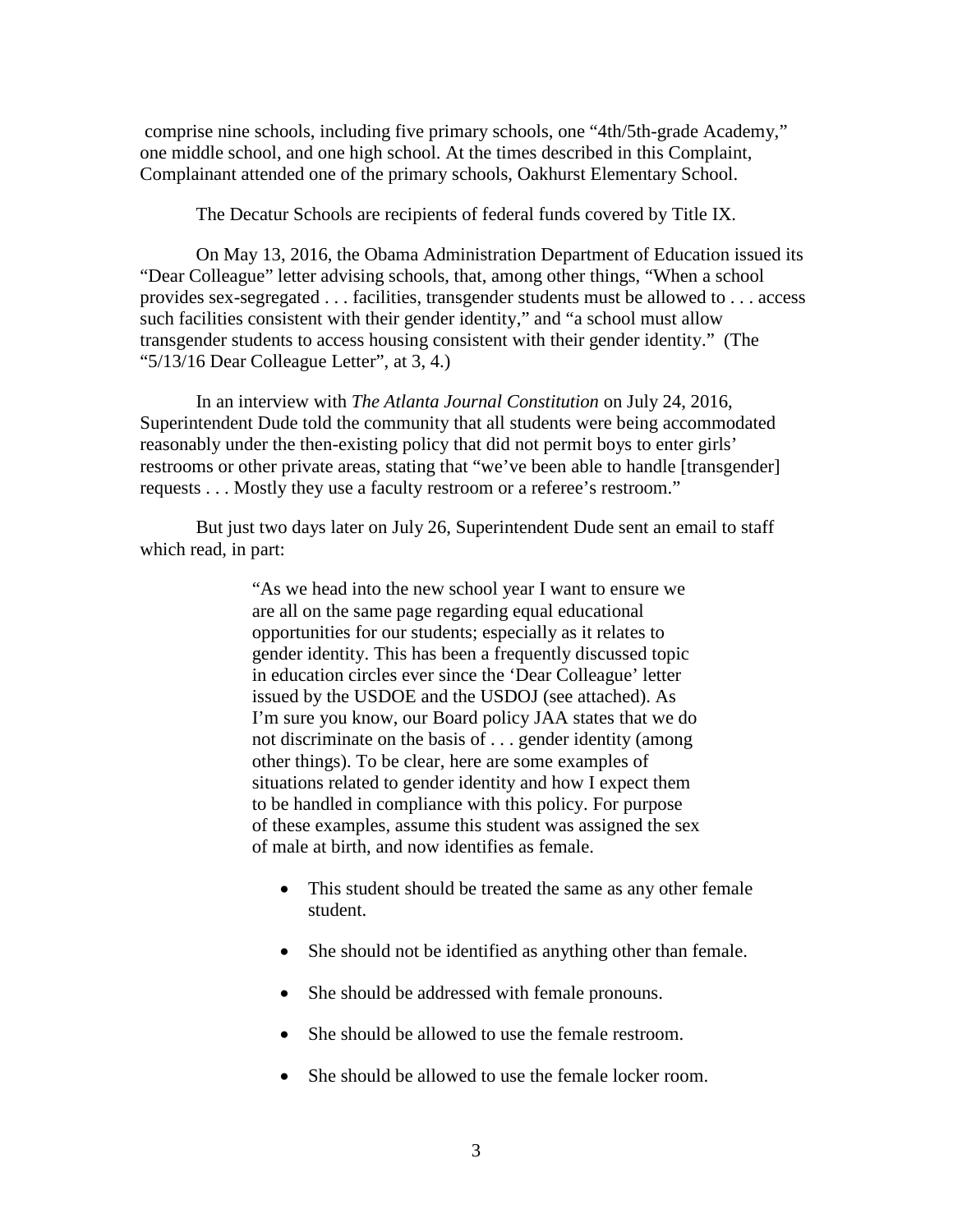comprise nine schools, including five primary schools, one "4th/5th-grade Academy," one middle school, and one high school. At the times described in this Complaint, Complainant attended one of the primary schools, Oakhurst Elementary School.

The Decatur Schools are recipients of federal funds covered by Title IX.

On May 13, 2016, the Obama Administration Department of Education issued its "Dear Colleague" letter advising schools, that, among other things, "When a school provides sex-segregated . . . facilities, transgender students must be allowed to . . . access such facilities consistent with their gender identity," and "a school must allow transgender students to access housing consistent with their gender identity." (The "5/13/16 Dear Colleague Letter", at 3, 4.)

In an interview with *The Atlanta Journal Constitution* on July 24, 2016, Superintendent Dude told the community that all students were being accommodated reasonably under the then-existing policy that did not permit boys to enter girls' restrooms or other private areas, stating that "we've been able to handle [transgender] requests . . . Mostly they use a faculty restroom or a referee's restroom."

But just two days later on July 26, Superintendent Dude sent an email to staff which read, in part:

> "As we head into the new school year I want to ensure we are all on the same page regarding equal educational opportunities for our students; especially as it relates to gender identity. This has been a frequently discussed topic in education circles ever since the 'Dear Colleague' letter issued by the USDOE and the USDOJ (see attached). As I'm sure you know, our Board policy JAA states that we do not discriminate on the basis of . . . gender identity (among other things). To be clear, here are some examples of situations related to gender identity and how I expect them to be handled in compliance with this policy. For purpose of these examples, assume this student was assigned the sex of male at birth, and now identifies as female.

- This student should be treated the same as any other female student.
- She should not be identified as anything other than female.
- She should be addressed with female pronouns.
- She should be allowed to use the female restroom.
- She should be allowed to use the female locker room.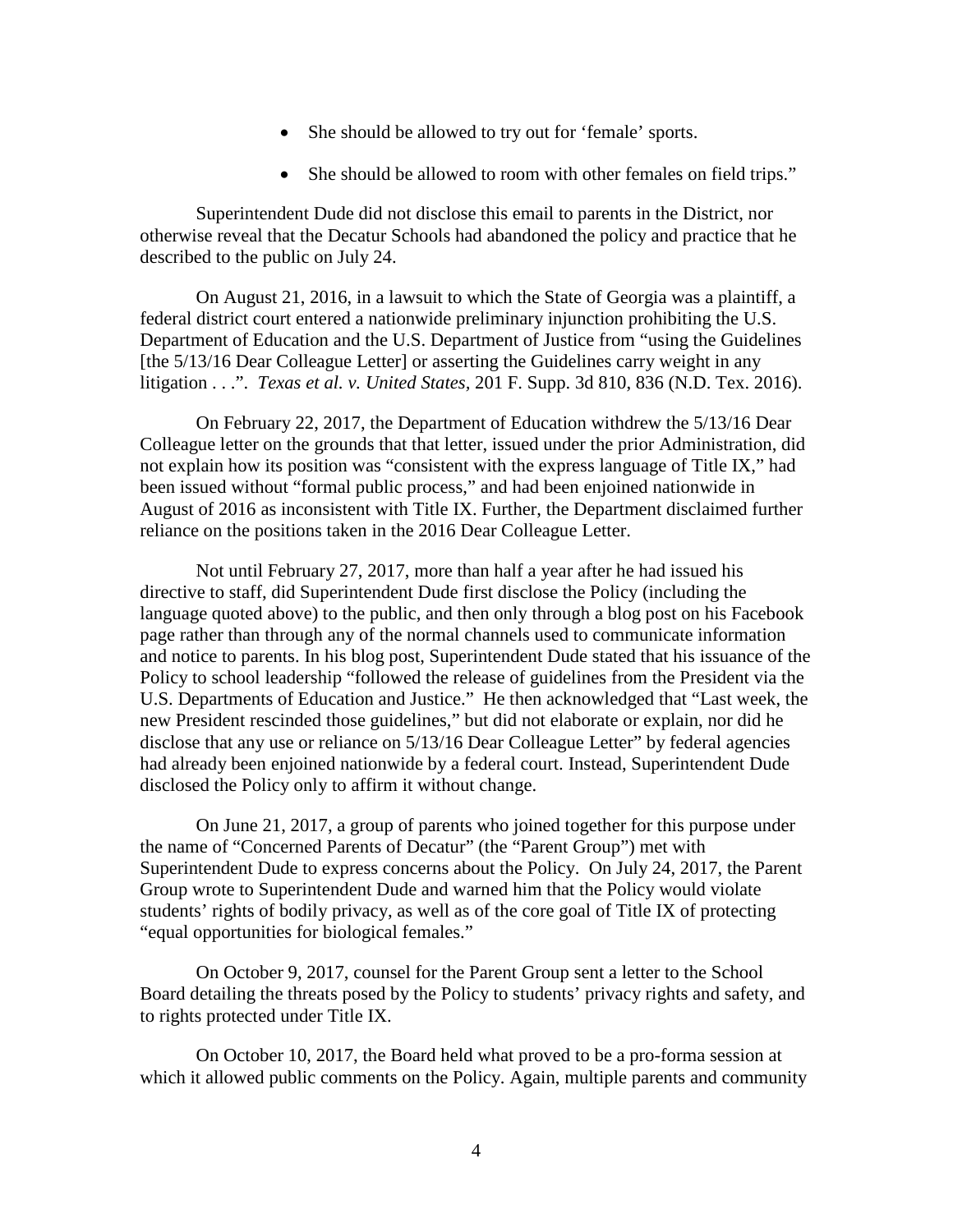- She should be allowed to try out for 'female' sports.
- She should be allowed to room with other females on field trips."

Superintendent Dude did not disclose this email to parents in the District, nor otherwise reveal that the Decatur Schools had abandoned the policy and practice that he described to the public on July 24.

On August 21, 2016, in a lawsuit to which the State of Georgia was a plaintiff, a federal district court entered a nationwide preliminary injunction prohibiting the U.S. Department of Education and the U.S. Department of Justice from "using the Guidelines [the 5/13/16 Dear Colleague Letter] or asserting the Guidelines carry weight in any litigation . . .". *Texas et al. v. United States,* 201 F. Supp. 3d 810, 836 (N.D. Tex. 2016).

On February 22, 2017, the Department of Education withdrew the 5/13/16 Dear Colleague letter on the grounds that that letter, issued under the prior Administration, did not explain how its position was "consistent with the express language of Title IX," had been issued without "formal public process," and had been enjoined nationwide in August of 2016 as inconsistent with Title IX. Further, the Department disclaimed further reliance on the positions taken in the 2016 Dear Colleague Letter.

Not until February 27, 2017, more than half a year after he had issued his directive to staff, did Superintendent Dude first disclose the Policy (including the language quoted above) to the public, and then only through a blog post on his Facebook page rather than through any of the normal channels used to communicate information and notice to parents. In his blog post, Superintendent Dude stated that his issuance of the Policy to school leadership "followed the release of guidelines from the President via the U.S. Departments of Education and Justice." He then acknowledged that "Last week, the new President rescinded those guidelines," but did not elaborate or explain, nor did he disclose that any use or reliance on 5/13/16 Dear Colleague Letter" by federal agencies had already been enjoined nationwide by a federal court. Instead, Superintendent Dude disclosed the Policy only to affirm it without change.

On June 21, 2017, a group of parents who joined together for this purpose under the name of "Concerned Parents of Decatur" (the "Parent Group") met with Superintendent Dude to express concerns about the Policy. On July 24, 2017, the Parent Group wrote to Superintendent Dude and warned him that the Policy would violate students' rights of bodily privacy, as well as of the core goal of Title IX of protecting "equal opportunities for biological females."

On October 9, 2017, counsel for the Parent Group sent a letter to the School Board detailing the threats posed by the Policy to students' privacy rights and safety, and to rights protected under Title IX.

On October 10, 2017, the Board held what proved to be a pro-forma session at which it allowed public comments on the Policy. Again, multiple parents and community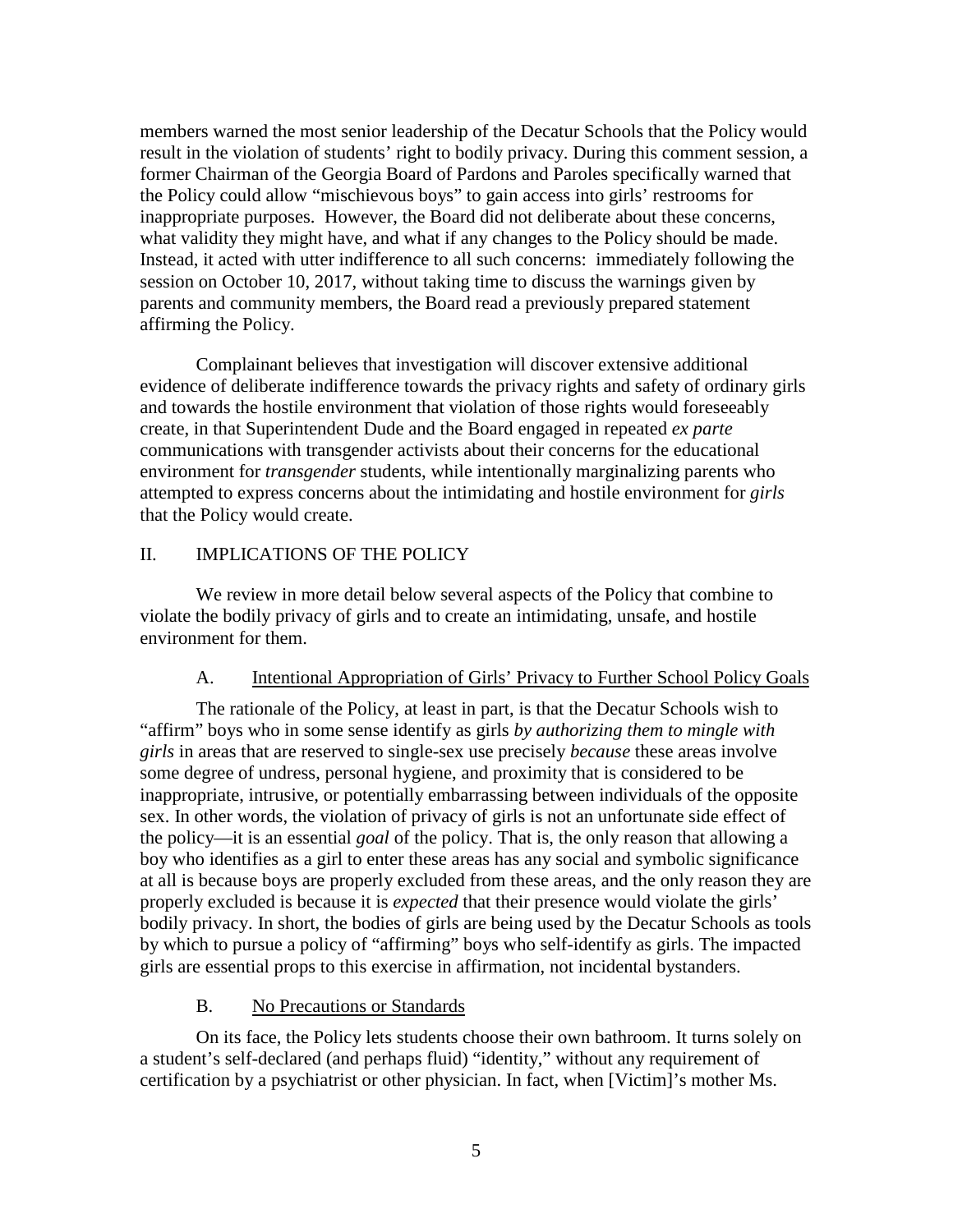members warned the most senior leadership of the Decatur Schools that the Policy would result in the violation of students' right to bodily privacy. During this comment session, a former Chairman of the Georgia Board of Pardons and Paroles specifically warned that the Policy could allow "mischievous boys" to gain access into girls' restrooms for inappropriate purposes. However, the Board did not deliberate about these concerns, what validity they might have, and what if any changes to the Policy should be made. Instead, it acted with utter indifference to all such concerns: immediately following the session on October 10, 2017, without taking time to discuss the warnings given by parents and community members, the Board read a previously prepared statement affirming the Policy.

Complainant believes that investigation will discover extensive additional evidence of deliberate indifference towards the privacy rights and safety of ordinary girls and towards the hostile environment that violation of those rights would foreseeably create, in that Superintendent Dude and the Board engaged in repeated *ex parte* communications with transgender activists about their concerns for the educational environment for *transgender* students, while intentionally marginalizing parents who attempted to express concerns about the intimidating and hostile environment for *girls* that the Policy would create.

### II. IMPLICATIONS OF THE POLICY

We review in more detail below several aspects of the Policy that combine to violate the bodily privacy of girls and to create an intimidating, unsafe, and hostile environment for them.

#### A. Intentional Appropriation of Girls' Privacy to Further School Policy Goals

The rationale of the Policy, at least in part, is that the Decatur Schools wish to "affirm" boys who in some sense identify as girls *by authorizing them to mingle with girls* in areas that are reserved to single-sex use precisely *because* these areas involve some degree of undress, personal hygiene, and proximity that is considered to be inappropriate, intrusive, or potentially embarrassing between individuals of the opposite sex. In other words, the violation of privacy of girls is not an unfortunate side effect of the policy—it is an essential *goal* of the policy. That is, the only reason that allowing a boy who identifies as a girl to enter these areas has any social and symbolic significance at all is because boys are properly excluded from these areas, and the only reason they are properly excluded is because it is *expected* that their presence would violate the girls' bodily privacy. In short, the bodies of girls are being used by the Decatur Schools as tools by which to pursue a policy of "affirming" boys who self-identify as girls. The impacted girls are essential props to this exercise in affirmation, not incidental bystanders.

#### B. No Precautions or Standards

On its face, the Policy lets students choose their own bathroom. It turns solely on a student's self-declared (and perhaps fluid) "identity," without any requirement of certification by a psychiatrist or other physician. In fact, when [Victim]'s mother Ms.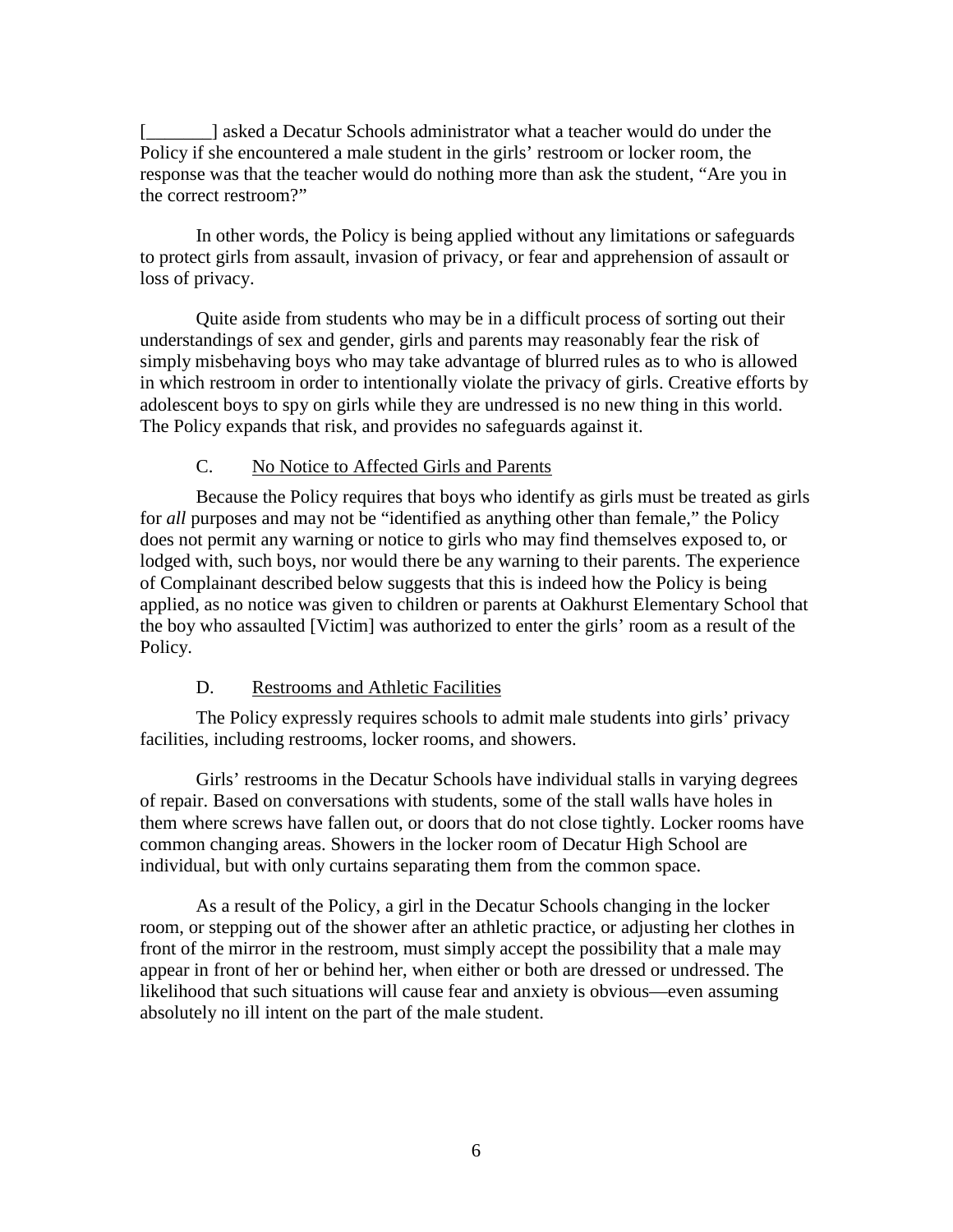[exceeds a Decatur Schools administrator what a teacher would do under the Policy if she encountered a male student in the girls' restroom or locker room, the response was that the teacher would do nothing more than ask the student, "Are you in the correct restroom?"

In other words, the Policy is being applied without any limitations or safeguards to protect girls from assault, invasion of privacy, or fear and apprehension of assault or loss of privacy.

Quite aside from students who may be in a difficult process of sorting out their understandings of sex and gender, girls and parents may reasonably fear the risk of simply misbehaving boys who may take advantage of blurred rules as to who is allowed in which restroom in order to intentionally violate the privacy of girls. Creative efforts by adolescent boys to spy on girls while they are undressed is no new thing in this world. The Policy expands that risk, and provides no safeguards against it.

### C. No Notice to Affected Girls and Parents

Because the Policy requires that boys who identify as girls must be treated as girls for *all* purposes and may not be "identified as anything other than female," the Policy does not permit any warning or notice to girls who may find themselves exposed to, or lodged with, such boys, nor would there be any warning to their parents. The experience of Complainant described below suggests that this is indeed how the Policy is being applied, as no notice was given to children or parents at Oakhurst Elementary School that the boy who assaulted [Victim] was authorized to enter the girls' room as a result of the Policy.

#### D. Restrooms and Athletic Facilities

The Policy expressly requires schools to admit male students into girls' privacy facilities, including restrooms, locker rooms, and showers.

Girls' restrooms in the Decatur Schools have individual stalls in varying degrees of repair. Based on conversations with students, some of the stall walls have holes in them where screws have fallen out, or doors that do not close tightly. Locker rooms have common changing areas. Showers in the locker room of Decatur High School are individual, but with only curtains separating them from the common space.

As a result of the Policy, a girl in the Decatur Schools changing in the locker room, or stepping out of the shower after an athletic practice, or adjusting her clothes in front of the mirror in the restroom, must simply accept the possibility that a male may appear in front of her or behind her, when either or both are dressed or undressed. The likelihood that such situations will cause fear and anxiety is obvious—even assuming absolutely no ill intent on the part of the male student.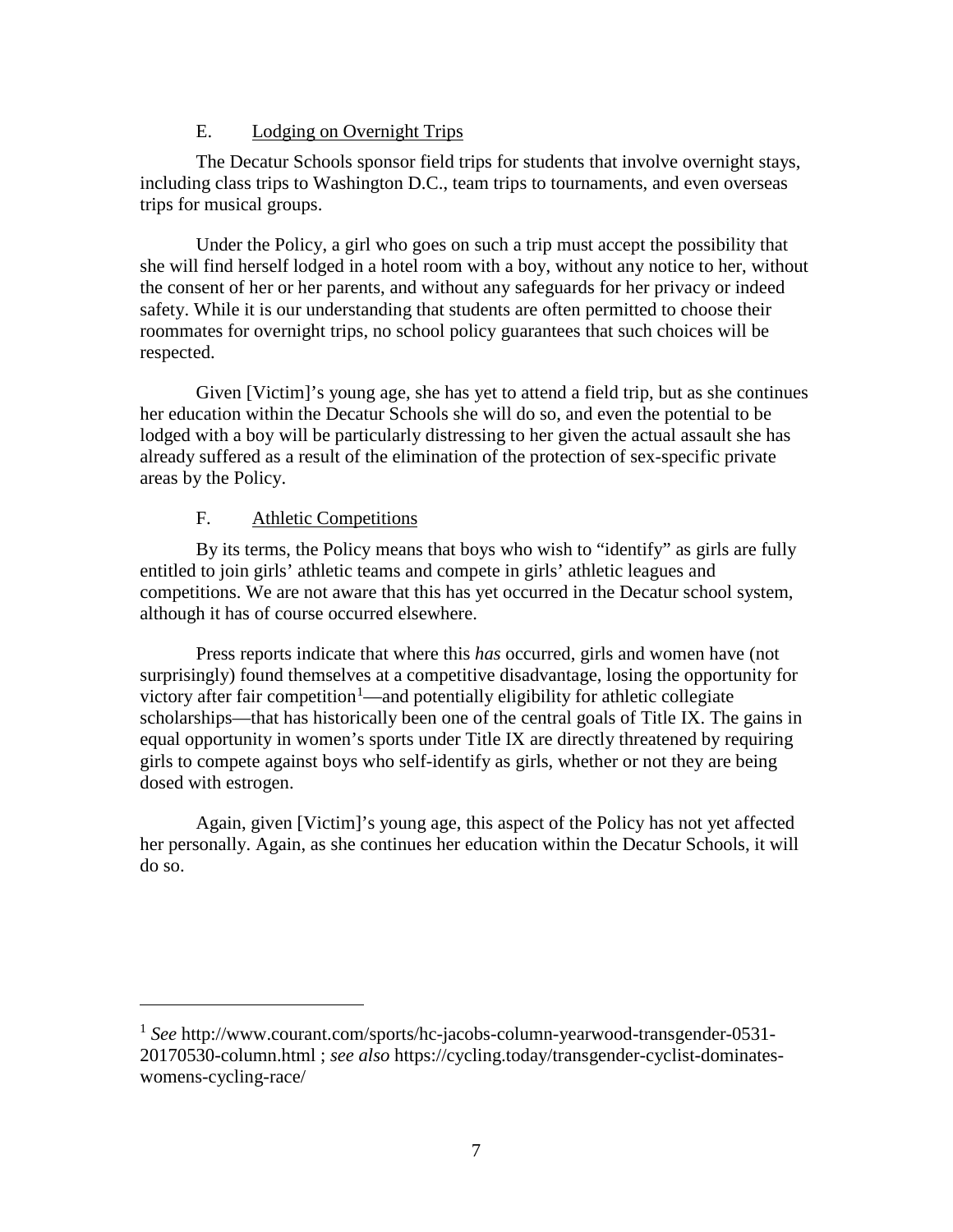# E. Lodging on Overnight Trips

The Decatur Schools sponsor field trips for students that involve overnight stays, including class trips to Washington D.C., team trips to tournaments, and even overseas trips for musical groups.

Under the Policy, a girl who goes on such a trip must accept the possibility that she will find herself lodged in a hotel room with a boy, without any notice to her, without the consent of her or her parents, and without any safeguards for her privacy or indeed safety. While it is our understanding that students are often permitted to choose their roommates for overnight trips, no school policy guarantees that such choices will be respected.

Given [Victim]'s young age, she has yet to attend a field trip, but as she continues her education within the Decatur Schools she will do so, and even the potential to be lodged with a boy will be particularly distressing to her given the actual assault she has already suffered as a result of the elimination of the protection of sex-specific private areas by the Policy.

# F. Athletic Competitions

 $\overline{a}$ 

By its terms, the Policy means that boys who wish to "identify" as girls are fully entitled to join girls' athletic teams and compete in girls' athletic leagues and competitions. We are not aware that this has yet occurred in the Decatur school system, although it has of course occurred elsewhere.

Press reports indicate that where this *has* occurred, girls and women have (not surprisingly) found themselves at a competitive disadvantage, losing the opportunity for victory after fair competition<sup>[1](#page-6-0)</sup>—and potentially eligibility for athletic collegiate scholarships—that has historically been one of the central goals of Title IX. The gains in equal opportunity in women's sports under Title IX are directly threatened by requiring girls to compete against boys who self-identify as girls, whether or not they are being dosed with estrogen.

Again, given [Victim]'s young age, this aspect of the Policy has not yet affected her personally. Again, as she continues her education within the Decatur Schools, it will do so.

<span id="page-6-0"></span><sup>1</sup> *See* http://www.courant.com/sports/hc-jacobs-column-yearwood-transgender-0531- 20170530-column.html ; *see also* https://cycling.today/transgender-cyclist-dominateswomens-cycling-race/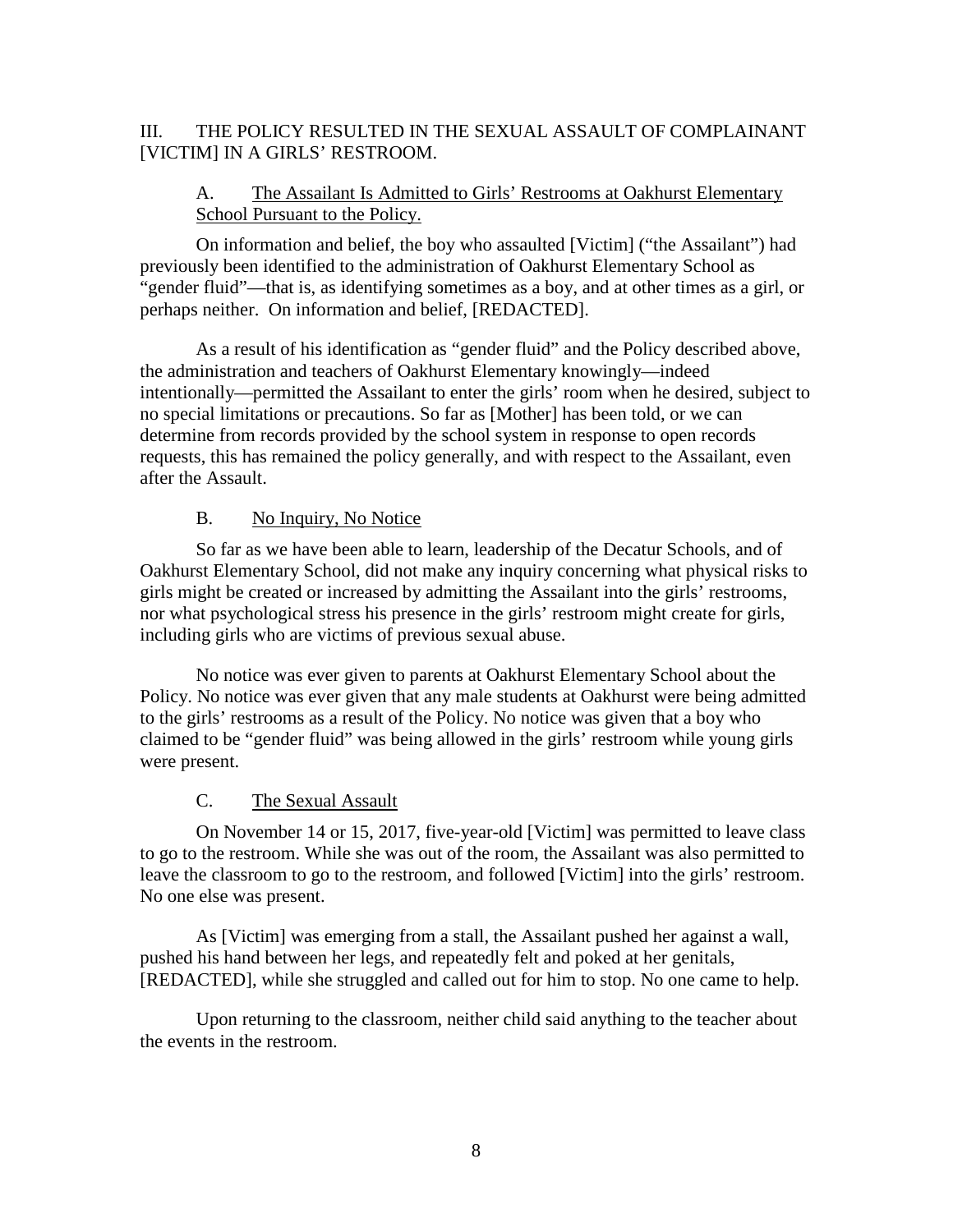# III. THE POLICY RESULTED IN THE SEXUAL ASSAULT OF COMPLAINANT [VICTIM] IN A GIRLS' RESTROOM.

# A. The Assailant Is Admitted to Girls' Restrooms at Oakhurst Elementary School Pursuant to the Policy.

On information and belief, the boy who assaulted [Victim] ("the Assailant") had previously been identified to the administration of Oakhurst Elementary School as "gender fluid"—that is, as identifying sometimes as a boy, and at other times as a girl, or perhaps neither. On information and belief, [REDACTED].

As a result of his identification as "gender fluid" and the Policy described above, the administration and teachers of Oakhurst Elementary knowingly—indeed intentionally—permitted the Assailant to enter the girls' room when he desired, subject to no special limitations or precautions. So far as [Mother] has been told, or we can determine from records provided by the school system in response to open records requests, this has remained the policy generally, and with respect to the Assailant, even after the Assault.

# B. No Inquiry, No Notice

So far as we have been able to learn, leadership of the Decatur Schools, and of Oakhurst Elementary School, did not make any inquiry concerning what physical risks to girls might be created or increased by admitting the Assailant into the girls' restrooms, nor what psychological stress his presence in the girls' restroom might create for girls, including girls who are victims of previous sexual abuse.

No notice was ever given to parents at Oakhurst Elementary School about the Policy. No notice was ever given that any male students at Oakhurst were being admitted to the girls' restrooms as a result of the Policy. No notice was given that a boy who claimed to be "gender fluid" was being allowed in the girls' restroom while young girls were present.

### C. The Sexual Assault

On November 14 or 15, 2017, five-year-old [Victim] was permitted to leave class to go to the restroom. While she was out of the room, the Assailant was also permitted to leave the classroom to go to the restroom, and followed [Victim] into the girls' restroom. No one else was present.

As [Victim] was emerging from a stall, the Assailant pushed her against a wall, pushed his hand between her legs, and repeatedly felt and poked at her genitals, [REDACTED], while she struggled and called out for him to stop. No one came to help.

Upon returning to the classroom, neither child said anything to the teacher about the events in the restroom.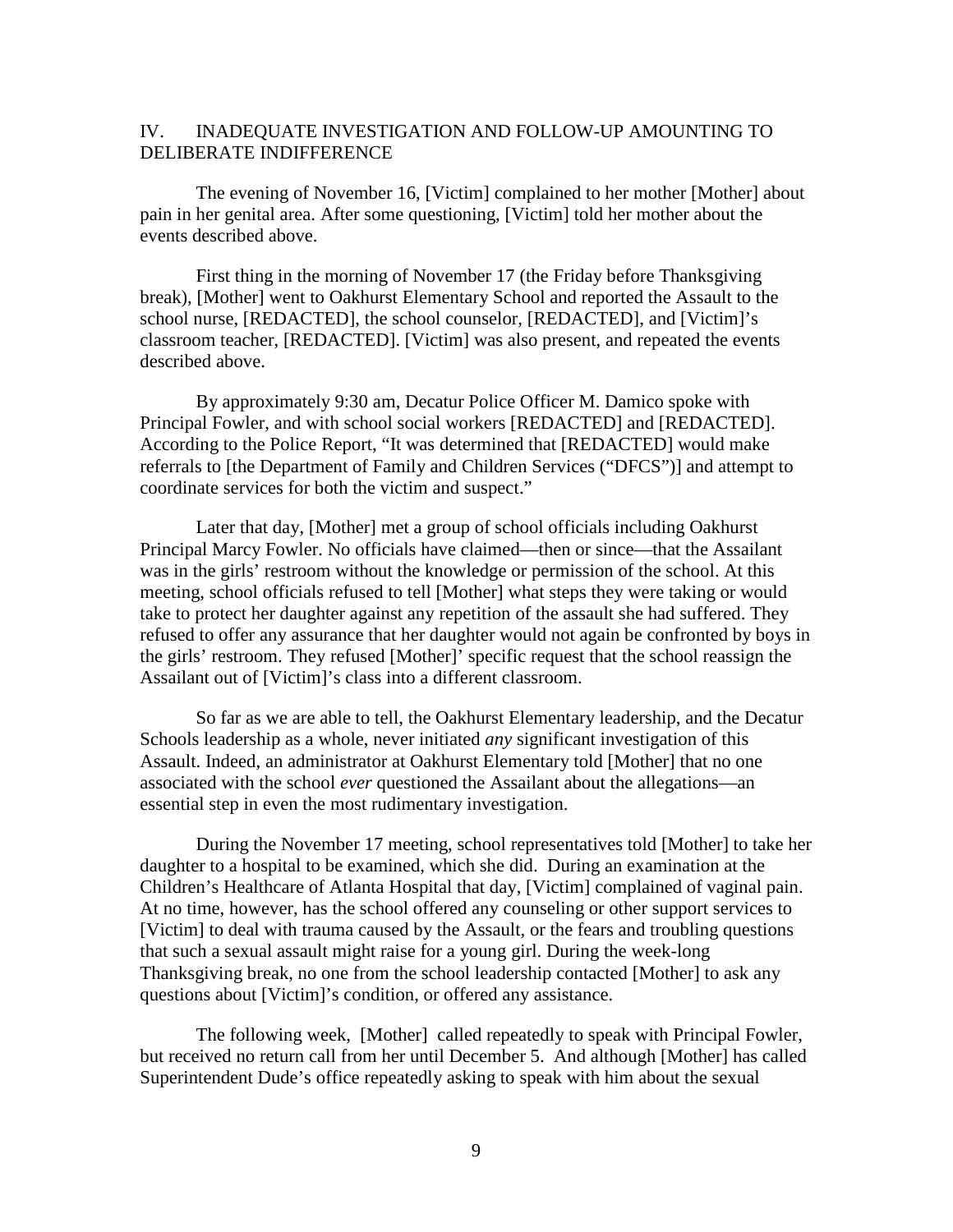#### IV. INADEQUATE INVESTIGATION AND FOLLOW-UP AMOUNTING TO DELIBERATE INDIFFERENCE

The evening of November 16, [Victim] complained to her mother [Mother] about pain in her genital area. After some questioning, [Victim] told her mother about the events described above.

First thing in the morning of November 17 (the Friday before Thanksgiving break), [Mother] went to Oakhurst Elementary School and reported the Assault to the school nurse, [REDACTED], the school counselor, [REDACTED], and [Victim]'s classroom teacher, [REDACTED]. [Victim] was also present, and repeated the events described above.

By approximately 9:30 am, Decatur Police Officer M. Damico spoke with Principal Fowler, and with school social workers [REDACTED] and [REDACTED]. According to the Police Report, "It was determined that [REDACTED] would make referrals to [the Department of Family and Children Services ("DFCS")] and attempt to coordinate services for both the victim and suspect."

Later that day, [Mother] met a group of school officials including Oakhurst Principal Marcy Fowler. No officials have claimed—then or since—that the Assailant was in the girls' restroom without the knowledge or permission of the school. At this meeting, school officials refused to tell [Mother] what steps they were taking or would take to protect her daughter against any repetition of the assault she had suffered. They refused to offer any assurance that her daughter would not again be confronted by boys in the girls' restroom. They refused [Mother]' specific request that the school reassign the Assailant out of [Victim]'s class into a different classroom.

So far as we are able to tell, the Oakhurst Elementary leadership, and the Decatur Schools leadership as a whole, never initiated *any* significant investigation of this Assault. Indeed, an administrator at Oakhurst Elementary told [Mother] that no one associated with the school *ever* questioned the Assailant about the allegations—an essential step in even the most rudimentary investigation.

During the November 17 meeting, school representatives told [Mother] to take her daughter to a hospital to be examined, which she did. During an examination at the Children's Healthcare of Atlanta Hospital that day, [Victim] complained of vaginal pain. At no time, however, has the school offered any counseling or other support services to [Victim] to deal with trauma caused by the Assault, or the fears and troubling questions that such a sexual assault might raise for a young girl. During the week-long Thanksgiving break, no one from the school leadership contacted [Mother] to ask any questions about [Victim]'s condition, or offered any assistance.

The following week, [Mother] called repeatedly to speak with Principal Fowler, but received no return call from her until December 5. And although [Mother] has called Superintendent Dude's office repeatedly asking to speak with him about the sexual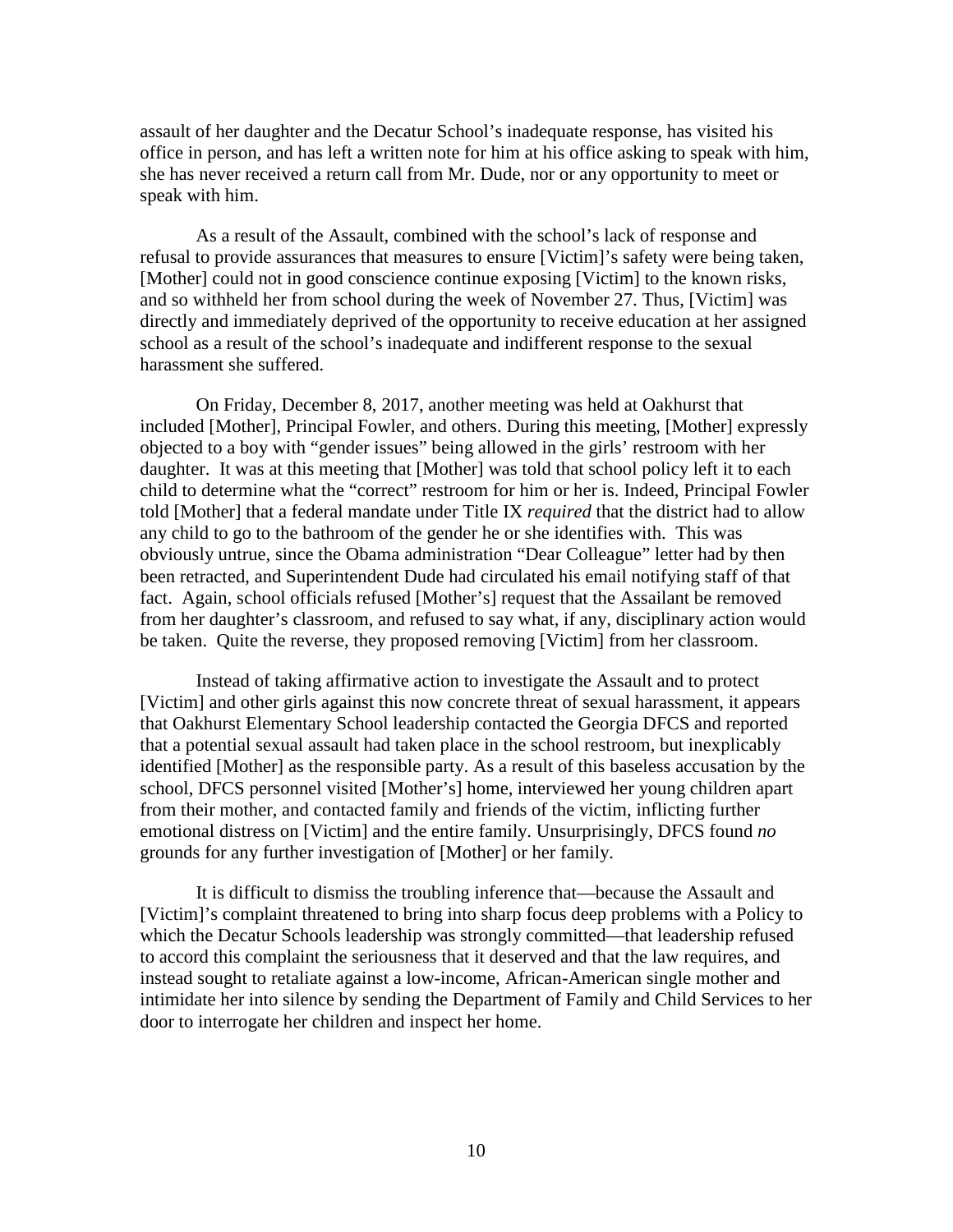assault of her daughter and the Decatur School's inadequate response, has visited his office in person, and has left a written note for him at his office asking to speak with him, she has never received a return call from Mr. Dude, nor or any opportunity to meet or speak with him.

As a result of the Assault, combined with the school's lack of response and refusal to provide assurances that measures to ensure [Victim]'s safety were being taken, [Mother] could not in good conscience continue exposing [Victim] to the known risks, and so withheld her from school during the week of November 27. Thus, [Victim] was directly and immediately deprived of the opportunity to receive education at her assigned school as a result of the school's inadequate and indifferent response to the sexual harassment she suffered.

On Friday, December 8, 2017, another meeting was held at Oakhurst that included [Mother], Principal Fowler, and others. During this meeting, [Mother] expressly objected to a boy with "gender issues" being allowed in the girls' restroom with her daughter. It was at this meeting that [Mother] was told that school policy left it to each child to determine what the "correct" restroom for him or her is. Indeed, Principal Fowler told [Mother] that a federal mandate under Title IX *required* that the district had to allow any child to go to the bathroom of the gender he or she identifies with. This was obviously untrue, since the Obama administration "Dear Colleague" letter had by then been retracted, and Superintendent Dude had circulated his email notifying staff of that fact. Again, school officials refused [Mother's] request that the Assailant be removed from her daughter's classroom, and refused to say what, if any, disciplinary action would be taken. Quite the reverse, they proposed removing [Victim] from her classroom.

Instead of taking affirmative action to investigate the Assault and to protect [Victim] and other girls against this now concrete threat of sexual harassment, it appears that Oakhurst Elementary School leadership contacted the Georgia DFCS and reported that a potential sexual assault had taken place in the school restroom, but inexplicably identified [Mother] as the responsible party. As a result of this baseless accusation by the school, DFCS personnel visited [Mother's] home, interviewed her young children apart from their mother, and contacted family and friends of the victim, inflicting further emotional distress on [Victim] and the entire family. Unsurprisingly, DFCS found *no* grounds for any further investigation of [Mother] or her family.

It is difficult to dismiss the troubling inference that—because the Assault and [Victim]'s complaint threatened to bring into sharp focus deep problems with a Policy to which the Decatur Schools leadership was strongly committed—that leadership refused to accord this complaint the seriousness that it deserved and that the law requires, and instead sought to retaliate against a low-income, African-American single mother and intimidate her into silence by sending the Department of Family and Child Services to her door to interrogate her children and inspect her home.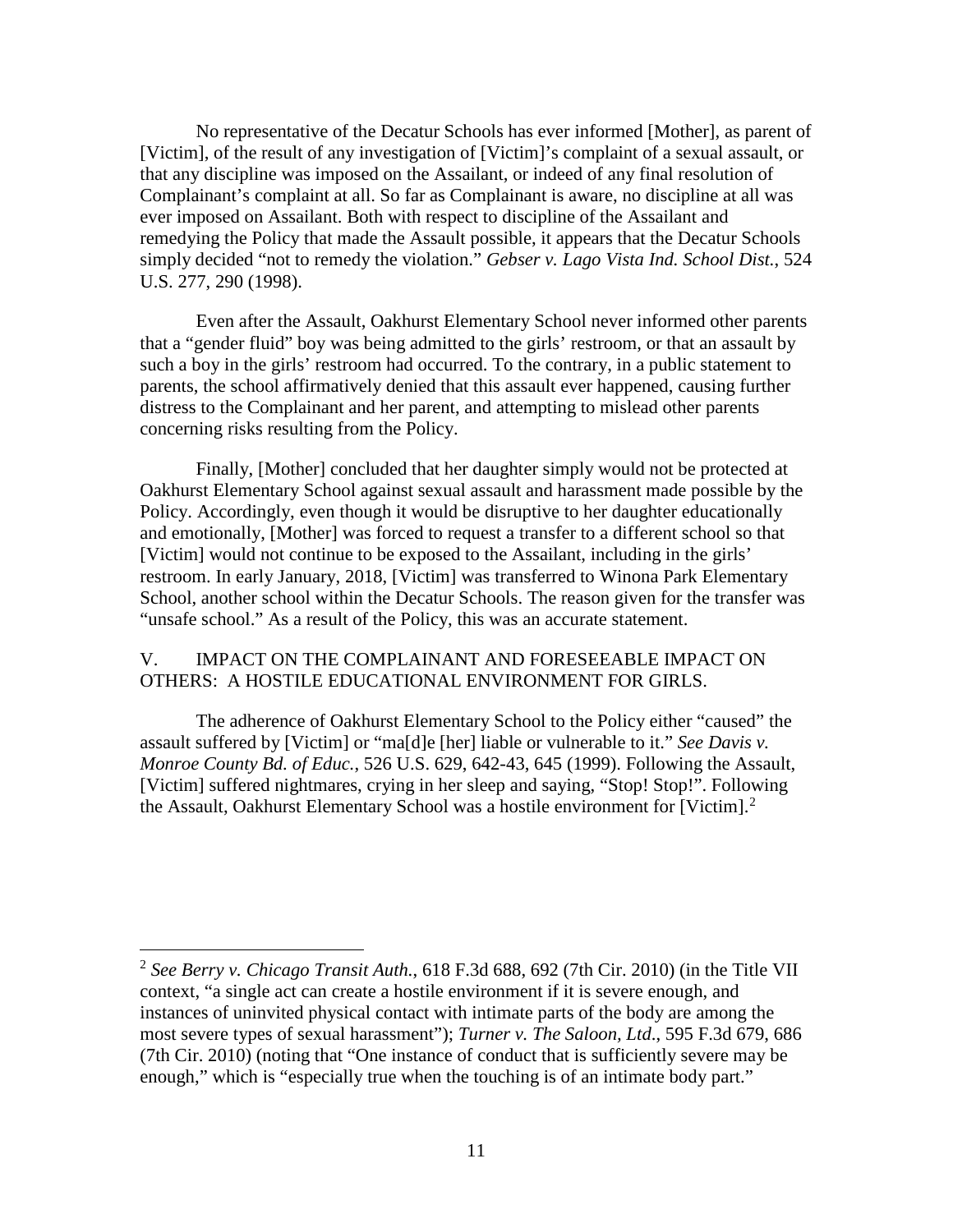No representative of the Decatur Schools has ever informed [Mother], as parent of [Victim], of the result of any investigation of [Victim]'s complaint of a sexual assault, or that any discipline was imposed on the Assailant, or indeed of any final resolution of Complainant's complaint at all. So far as Complainant is aware, no discipline at all was ever imposed on Assailant. Both with respect to discipline of the Assailant and remedying the Policy that made the Assault possible, it appears that the Decatur Schools simply decided "not to remedy the violation." *Gebser v. Lago Vista Ind. School Dist.*, 524 U.S. 277, 290 (1998).

Even after the Assault, Oakhurst Elementary School never informed other parents that a "gender fluid" boy was being admitted to the girls' restroom, or that an assault by such a boy in the girls' restroom had occurred. To the contrary, in a public statement to parents, the school affirmatively denied that this assault ever happened, causing further distress to the Complainant and her parent, and attempting to mislead other parents concerning risks resulting from the Policy.

Finally, [Mother] concluded that her daughter simply would not be protected at Oakhurst Elementary School against sexual assault and harassment made possible by the Policy. Accordingly, even though it would be disruptive to her daughter educationally and emotionally, [Mother] was forced to request a transfer to a different school so that [Victim] would not continue to be exposed to the Assailant, including in the girls' restroom. In early January, 2018, [Victim] was transferred to Winona Park Elementary School, another school within the Decatur Schools. The reason given for the transfer was "unsafe school." As a result of the Policy, this was an accurate statement.

# V. IMPACT ON THE COMPLAINANT AND FORESEEABLE IMPACT ON OTHERS: A HOSTILE EDUCATIONAL ENVIRONMENT FOR GIRLS.

The adherence of Oakhurst Elementary School to the Policy either "caused" the assault suffered by [Victim] or "ma[d]e [her] liable or vulnerable to it." *See Davis v. Monroe County Bd. of Educ.*, 526 U.S. 629, 642-43, 645 (1999). Following the Assault, [Victim] suffered nightmares, crying in her sleep and saying, "Stop! Stop!". Following the Assault, Oakhurst Elementary School was a hostile environment for [Victim].<sup>[2](#page-10-0)</sup>

<span id="page-10-0"></span> <sup>2</sup> *See Berry v. Chicago Transit Auth.*, 618 F.3d 688, 692 (7th Cir. 2010) (in the Title VII context, "a single act can create a hostile environment if it is severe enough, and instances of uninvited physical contact with intimate parts of the body are among the most severe types of sexual harassment"); *Turner v. The Saloon, Ltd*., 595 F.3d 679, 686 (7th Cir. 2010) (noting that "One instance of conduct that is sufficiently severe may be enough," which is "especially true when the touching is of an intimate body part."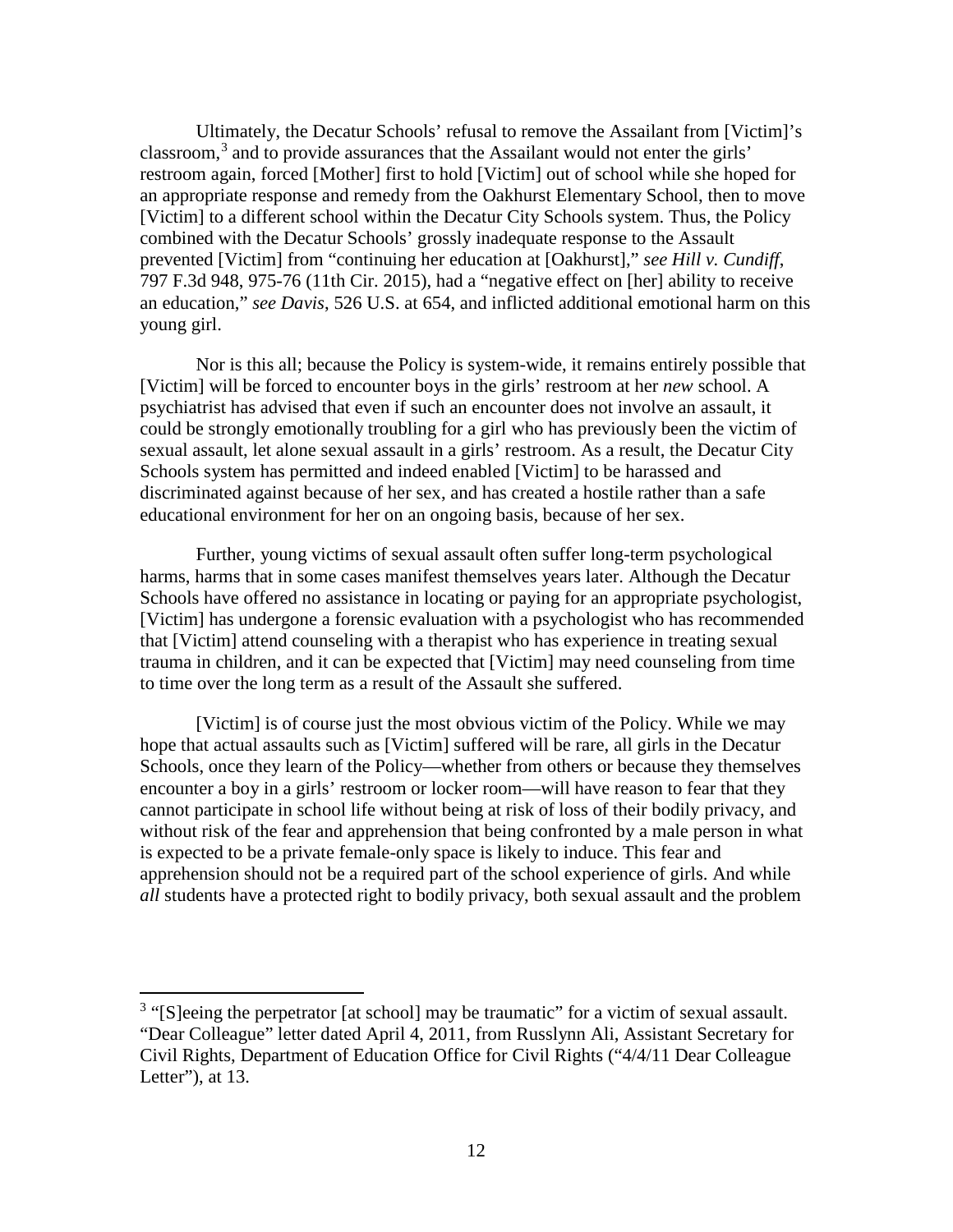Ultimately, the Decatur Schools' refusal to remove the Assailant from [Victim]'s classroom, $3$  and to provide assurances that the Assailant would not enter the girls' restroom again, forced [Mother] first to hold [Victim] out of school while she hoped for an appropriate response and remedy from the Oakhurst Elementary School, then to move [Victim] to a different school within the Decatur City Schools system. Thus, the Policy combined with the Decatur Schools' grossly inadequate response to the Assault prevented [Victim] from "continuing her education at [Oakhurst]," *see Hill v. Cundiff*, 797 F.3d 948, 975-76 (11th Cir. 2015), had a "negative effect on [her] ability to receive an education," *see Davis*, 526 U.S. at 654, and inflicted additional emotional harm on this young girl.

Nor is this all; because the Policy is system-wide, it remains entirely possible that [Victim] will be forced to encounter boys in the girls' restroom at her *new* school. A psychiatrist has advised that even if such an encounter does not involve an assault, it could be strongly emotionally troubling for a girl who has previously been the victim of sexual assault, let alone sexual assault in a girls' restroom. As a result, the Decatur City Schools system has permitted and indeed enabled [Victim] to be harassed and discriminated against because of her sex, and has created a hostile rather than a safe educational environment for her on an ongoing basis, because of her sex.

Further, young victims of sexual assault often suffer long-term psychological harms, harms that in some cases manifest themselves years later. Although the Decatur Schools have offered no assistance in locating or paying for an appropriate psychologist, [Victim] has undergone a forensic evaluation with a psychologist who has recommended that [Victim] attend counseling with a therapist who has experience in treating sexual trauma in children, and it can be expected that [Victim] may need counseling from time to time over the long term as a result of the Assault she suffered.

[Victim] is of course just the most obvious victim of the Policy. While we may hope that actual assaults such as [Victim] suffered will be rare, all girls in the Decatur Schools, once they learn of the Policy—whether from others or because they themselves encounter a boy in a girls' restroom or locker room—will have reason to fear that they cannot participate in school life without being at risk of loss of their bodily privacy, and without risk of the fear and apprehension that being confronted by a male person in what is expected to be a private female-only space is likely to induce. This fear and apprehension should not be a required part of the school experience of girls. And while *all* students have a protected right to bodily privacy, both sexual assault and the problem

<span id="page-11-0"></span><sup>&</sup>lt;sup>3</sup> "[S]eeing the perpetrator [at school] may be traumatic" for a victim of sexual assault. "Dear Colleague" letter dated April 4, 2011, from Russlynn Ali, Assistant Secretary for Civil Rights, Department of Education Office for Civil Rights ("4/4/11 Dear Colleague Letter"), at 13.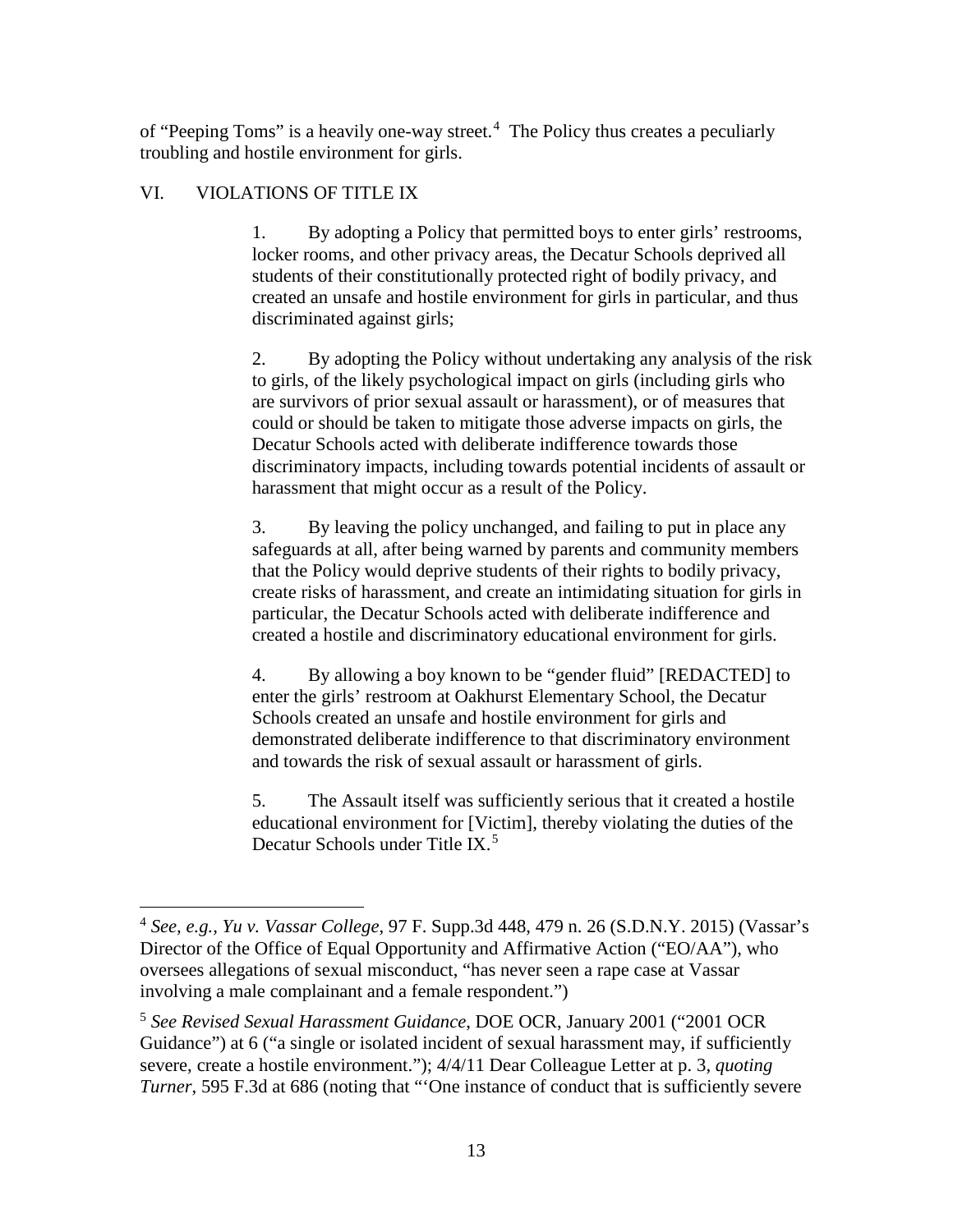of "Peeping Toms" is a heavily one-way street.<sup>[4](#page-12-0)</sup> The Policy thus creates a peculiarly troubling and hostile environment for girls.

# VI. VIOLATIONS OF TITLE IX

1. By adopting a Policy that permitted boys to enter girls' restrooms, locker rooms, and other privacy areas, the Decatur Schools deprived all students of their constitutionally protected right of bodily privacy, and created an unsafe and hostile environment for girls in particular, and thus discriminated against girls;

2. By adopting the Policy without undertaking any analysis of the risk to girls, of the likely psychological impact on girls (including girls who are survivors of prior sexual assault or harassment), or of measures that could or should be taken to mitigate those adverse impacts on girls, the Decatur Schools acted with deliberate indifference towards those discriminatory impacts, including towards potential incidents of assault or harassment that might occur as a result of the Policy.

3. By leaving the policy unchanged, and failing to put in place any safeguards at all, after being warned by parents and community members that the Policy would deprive students of their rights to bodily privacy, create risks of harassment, and create an intimidating situation for girls in particular, the Decatur Schools acted with deliberate indifference and created a hostile and discriminatory educational environment for girls.

4. By allowing a boy known to be "gender fluid" [REDACTED] to enter the girls' restroom at Oakhurst Elementary School, the Decatur Schools created an unsafe and hostile environment for girls and demonstrated deliberate indifference to that discriminatory environment and towards the risk of sexual assault or harassment of girls.

5. The Assault itself was sufficiently serious that it created a hostile educational environment for [Victim], thereby violating the duties of the Decatur Schools under Title IX.<sup>[5](#page-12-1)</sup>

<span id="page-12-0"></span> <sup>4</sup> *See, e.g., Yu v. Vassar College*, 97 F. Supp.3d 448, 479 n. 26 (S.D.N.Y. 2015) (Vassar's Director of the Office of Equal Opportunity and Affirmative Action ("EO/AA"), who oversees allegations of sexual misconduct, "has never seen a rape case at Vassar involving a male complainant and a female respondent.")

<span id="page-12-1"></span><sup>5</sup> *See Revised Sexual Harassment Guidance*, DOE OCR, January 2001 ("2001 OCR Guidance") at 6 ("a single or isolated incident of sexual harassment may, if sufficiently severe, create a hostile environment."); 4/4/11 Dear Colleague Letter at p. 3, *quoting Turner*, 595 F.3d at 686 (noting that "One instance of conduct that is sufficiently severe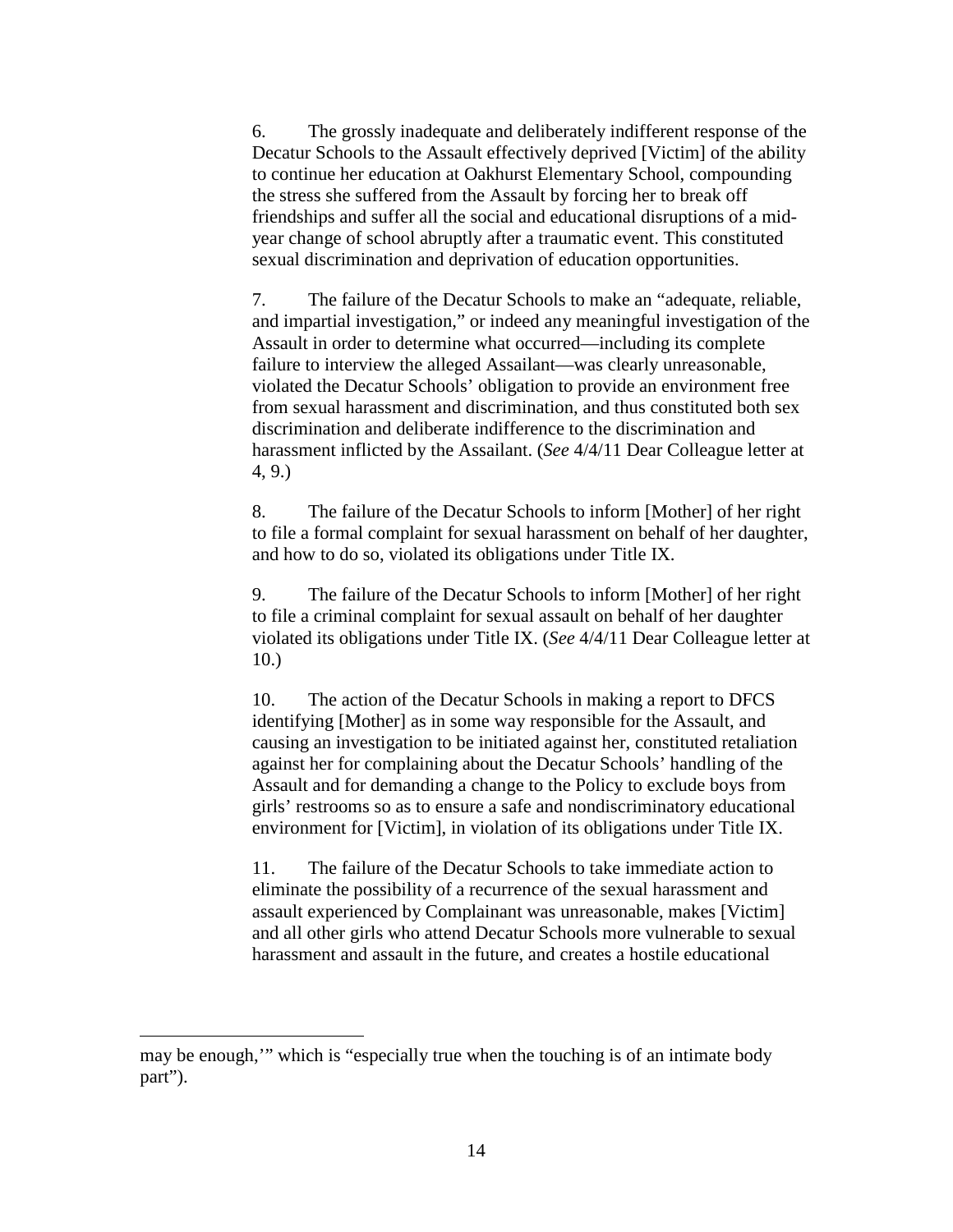6. The grossly inadequate and deliberately indifferent response of the Decatur Schools to the Assault effectively deprived [Victim] of the ability to continue her education at Oakhurst Elementary School, compounding the stress she suffered from the Assault by forcing her to break off friendships and suffer all the social and educational disruptions of a midyear change of school abruptly after a traumatic event. This constituted sexual discrimination and deprivation of education opportunities.

7. The failure of the Decatur Schools to make an "adequate, reliable, and impartial investigation," or indeed any meaningful investigation of the Assault in order to determine what occurred—including its complete failure to interview the alleged Assailant—was clearly unreasonable, violated the Decatur Schools' obligation to provide an environment free from sexual harassment and discrimination, and thus constituted both sex discrimination and deliberate indifference to the discrimination and harassment inflicted by the Assailant. (*See* 4/4/11 Dear Colleague letter at 4, 9.)

8. The failure of the Decatur Schools to inform [Mother] of her right to file a formal complaint for sexual harassment on behalf of her daughter, and how to do so, violated its obligations under Title IX.

9. The failure of the Decatur Schools to inform [Mother] of her right to file a criminal complaint for sexual assault on behalf of her daughter violated its obligations under Title IX. (*See* 4/4/11 Dear Colleague letter at 10.)

10. The action of the Decatur Schools in making a report to DFCS identifying [Mother] as in some way responsible for the Assault, and causing an investigation to be initiated against her, constituted retaliation against her for complaining about the Decatur Schools' handling of the Assault and for demanding a change to the Policy to exclude boys from girls' restrooms so as to ensure a safe and nondiscriminatory educational environment for [Victim], in violation of its obligations under Title IX.

11. The failure of the Decatur Schools to take immediate action to eliminate the possibility of a recurrence of the sexual harassment and assault experienced by Complainant was unreasonable, makes [Victim] and all other girls who attend Decatur Schools more vulnerable to sexual harassment and assault in the future, and creates a hostile educational

 $\overline{a}$ 

may be enough,'" which is "especially true when the touching is of an intimate body part").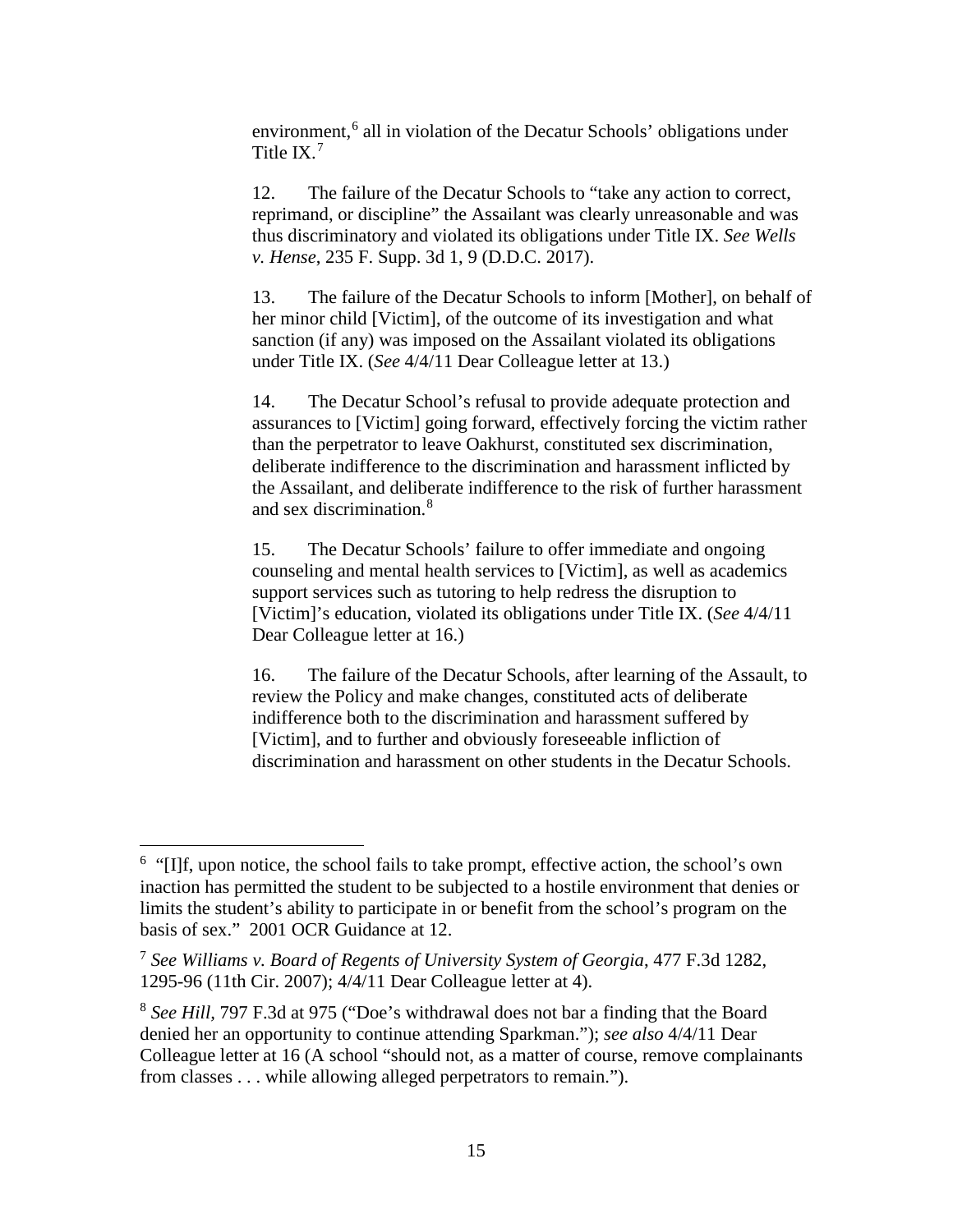environment,<sup>[6](#page-14-0)</sup> all in violation of the Decatur Schools' obligations under Title IX.[7](#page-14-1)

12. The failure of the Decatur Schools to "take any action to correct, reprimand, or discipline" the Assailant was clearly unreasonable and was thus discriminatory and violated its obligations under Title IX. *See Wells v. Hense*, 235 F. Supp. 3d 1, 9 (D.D.C. 2017).

13. The failure of the Decatur Schools to inform [Mother], on behalf of her minor child [Victim], of the outcome of its investigation and what sanction (if any) was imposed on the Assailant violated its obligations under Title IX. (*See* 4/4/11 Dear Colleague letter at 13.)

14. The Decatur School's refusal to provide adequate protection and assurances to [Victim] going forward, effectively forcing the victim rather than the perpetrator to leave Oakhurst, constituted sex discrimination, deliberate indifference to the discrimination and harassment inflicted by the Assailant, and deliberate indifference to the risk of further harassment and sex discrimination.[8](#page-14-2)

15. The Decatur Schools' failure to offer immediate and ongoing counseling and mental health services to [Victim], as well as academics support services such as tutoring to help redress the disruption to [Victim]'s education, violated its obligations under Title IX. (*See* 4/4/11 Dear Colleague letter at 16.)

16. The failure of the Decatur Schools, after learning of the Assault, to review the Policy and make changes, constituted acts of deliberate indifference both to the discrimination and harassment suffered by [Victim], and to further and obviously foreseeable infliction of discrimination and harassment on other students in the Decatur Schools.

<span id="page-14-0"></span> $\frac{1}{6}$  $<sup>6</sup>$  "[I]f, upon notice, the school fails to take prompt, effective action, the school's own</sup> inaction has permitted the student to be subjected to a hostile environment that denies or limits the student's ability to participate in or benefit from the school's program on the basis of sex." 2001 OCR Guidance at 12.

<span id="page-14-1"></span><sup>7</sup> *See Williams v. Board of Regents of University System of Georgia*, 477 F.3d 1282, 1295-96 (11th Cir. 2007); 4/4/11 Dear Colleague letter at 4).

<span id="page-14-2"></span><sup>8</sup> *See Hill,* 797 F.3d at 975 ("Doe's withdrawal does not bar a finding that the Board denied her an opportunity to continue attending Sparkman."); *see also* 4/4/11 Dear Colleague letter at 16 (A school "should not, as a matter of course, remove complainants from classes . . . while allowing alleged perpetrators to remain.").